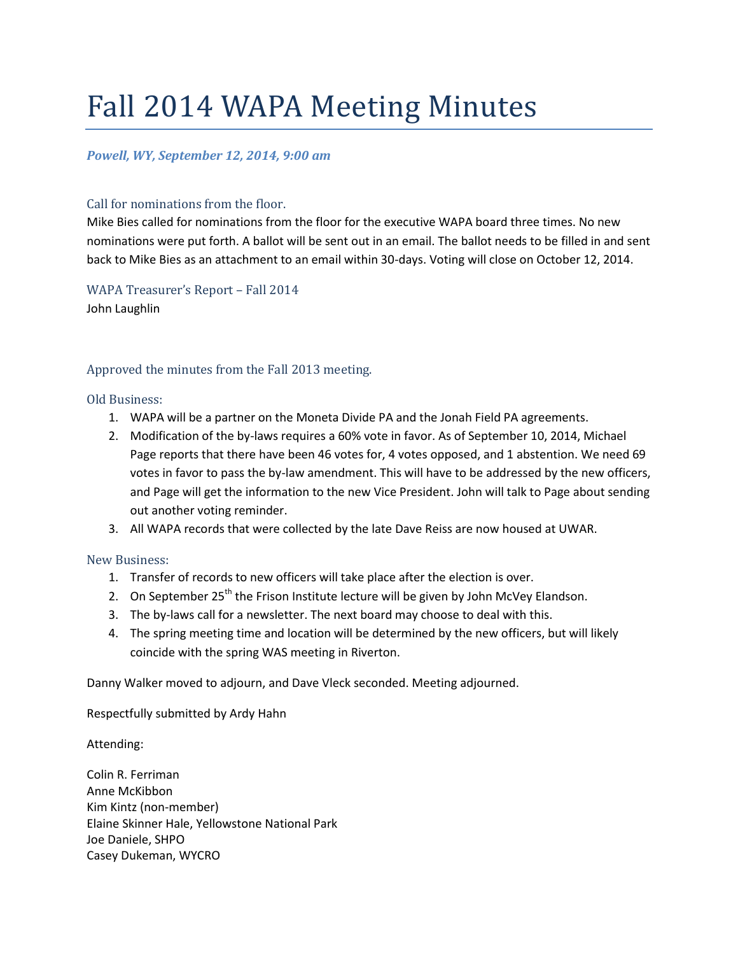# Fall 2014 WAPA Meeting Minutes

# *Powell, WY, September 12, 2014, 9:00 am*

### Call for nominations from the floor.

Mike Bies called for nominations from the floor for the executive WAPA board three times. No new nominations were put forth. A ballot will be sent out in an email. The ballot needs to be filled in and sent back to Mike Bies as an attachment to an email within 30-days. Voting will close on October 12, 2014.

WAPA Treasurer's Report – Fall 2014 John Laughlin

# Approved the minutes from the Fall 2013 meeting.

#### Old Business:

- 1. WAPA will be a partner on the Moneta Divide PA and the Jonah Field PA agreements.
- 2. Modification of the by-laws requires a 60% vote in favor. As of September 10, 2014, Michael Page reports that there have been 46 votes for, 4 votes opposed, and 1 abstention. We need 69 votes in favor to pass the by-law amendment. This will have to be addressed by the new officers, and Page will get the information to the new Vice President. John will talk to Page about sending out another voting reminder.
- 3. All WAPA records that were collected by the late Dave Reiss are now housed at UWAR.

#### New Business:

- 1. Transfer of records to new officers will take place after the election is over.
- 2. On September  $25<sup>th</sup>$  the Frison Institute lecture will be given by John McVey Elandson.
- 3. The by-laws call for a newsletter. The next board may choose to deal with this.
- 4. The spring meeting time and location will be determined by the new officers, but will likely coincide with the spring WAS meeting in Riverton.

Danny Walker moved to adjourn, and Dave Vleck seconded. Meeting adjourned.

Respectfully submitted by Ardy Hahn

Attending:

Colin R. Ferriman Anne McKibbon Kim Kintz (non-member) Elaine Skinner Hale, Yellowstone National Park Joe Daniele, SHPO Casey Dukeman, WYCRO